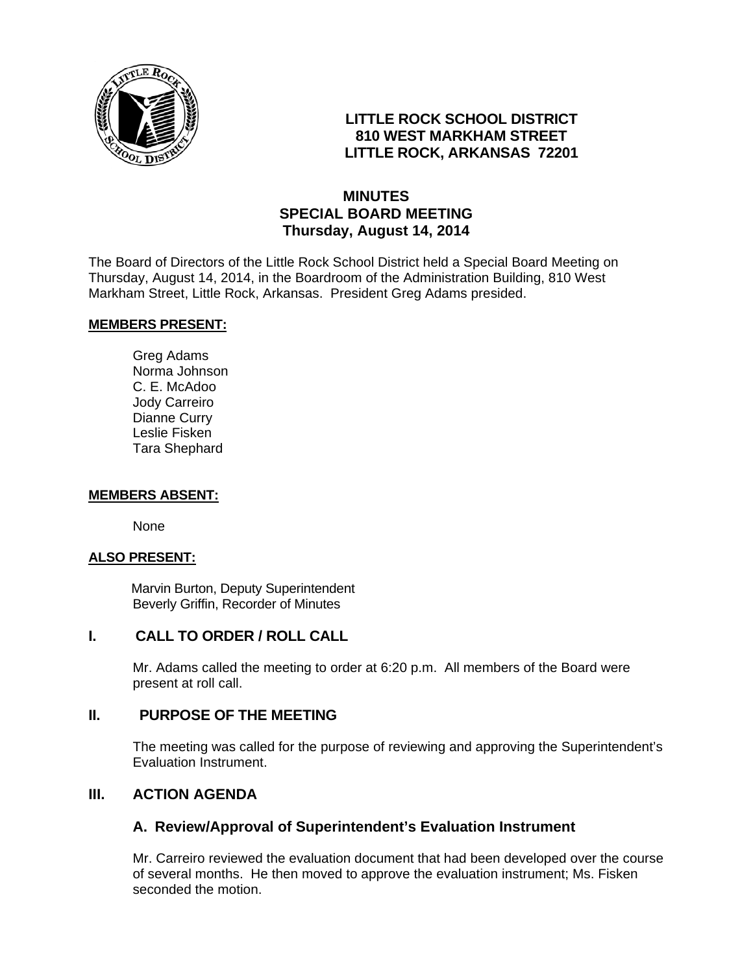

## **LITTLE ROCK SCHOOL DISTRICT 810 WEST MARKHAM STREET LITTLE ROCK, ARKANSAS 72201**

# **MINUTES SPECIAL BOARD MEETING Thursday, August 14, 2014**

The Board of Directors of the Little Rock School District held a Special Board Meeting on Thursday, August 14, 2014, in the Boardroom of the Administration Building, 810 West Markham Street, Little Rock, Arkansas. President Greg Adams presided.

#### **MEMBERS PRESENT:**

Greg Adams Norma Johnson C. E. McAdoo Jody Carreiro Dianne Curry Leslie Fisken Tara Shephard

### **MEMBERS ABSENT:**

None

### **ALSO PRESENT:**

 Marvin Burton, Deputy Superintendent Beverly Griffin, Recorder of Minutes

## **I. CALL TO ORDER / ROLL CALL**

Mr. Adams called the meeting to order at 6:20 p.m. All members of the Board were present at roll call.

### **II. PURPOSE OF THE MEETING**

The meeting was called for the purpose of reviewing and approving the Superintendent's Evaluation Instrument.

### **III. ACTION AGENDA**

### **A. Review/Approval of Superintendent's Evaluation Instrument**

Mr. Carreiro reviewed the evaluation document that had been developed over the course of several months. He then moved to approve the evaluation instrument; Ms. Fisken seconded the motion.